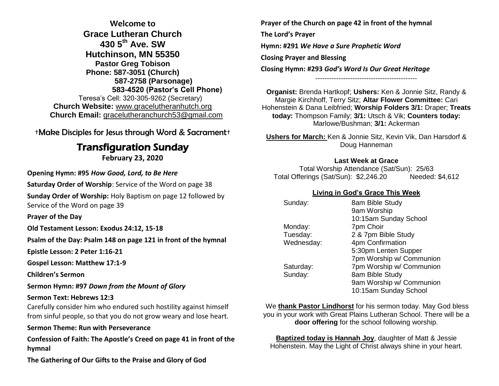**Welcome to Grace Lutheran Church 430 5th Ave. SW Hutchinson, MN 55350 Pastor Greg Tobison Phone: 587-3051 (Church) 587-2758 (Parsonage) 583-4520 (Pastor's Cell Phone)** Teresa's Cell: 320-305-9262 (Secretary) **Church Website:** [www.gracelutheranhutch.org](http://www.gracelutheranhutch.org/) **Church Email:** [gracelutheranchurch53@gmail.com](mailto:gracelutheranchurch53@gmail.com)

†Make Disciples for Jesus through Word & Sacrament†

# Transfiguration Sunday

**February 23, 2020**

**Opening Hymn: #95** *How Good, Lord, to Be Here*

**Saturday Order of Worship**: Service of the Word on page 38

**Sunday Order of Worship:** Holy Baptism on page 12 followed by Service of the Word on page 39

**Prayer of the Day**

**Old Testament Lesson: Exodus 24:12, 15-18**

**Psalm of the Day: Psalm 148 on page 121 in front of the hymnal** 

**Epistle Lesson: 2 Peter 1:16-21**

**Gospel Lesson: Matthew 17:1-9**

**Children's Sermon**

**Sermon Hymn: #97** *Down from the Mount of Glory*

#### **Sermon Text: Hebrews 12:3**

Carefully consider him who endured such hostility against himself from sinful people, so that you do not grow weary and lose heart.

### **Sermon Theme: Run with Perseverance**

**Confession of Faith: The Apostle's Creed on page 41 in front of the hymnal**

**The Gathering of Our Gifts to the Praise and Glory of God**

**Prayer of the Church on page 42 in front of the hymnal The Lord's Prayer Hymn: #291** *We Have a Sure Prophetic Word* **Closing Prayer and Blessing Closing Hymn: #293** *God's Word Is Our Great Heritage* --------------------------------------------

**Organist:** Brenda Hartkopf; **Ushers:** Ken & Jonnie Sitz, Randy & Margie Kirchhoff, Terry Sitz; **Altar Flower Committee:** Cari Hohenstein & Dana Leibfried; **Worship Folders 3/1:** Draper; **Treats today:** Thompson Family; **3/1:** Utsch & Vik; **Counters today:** Marlowe/Bushman; **3/1:** Ackerman

**Ushers for March:** Ken & Jonnie Sitz, Kevin Vik, Dan Harsdorf & Doug Hanneman

#### **Last Week at Grace**

Total Worship Attendance (Sat/Sun): 25/63 Total Offerings (Sat/Sun): \$2,246.20 Needed: \$4,612

### **Living in God's Grace This Week**

| Sunday:    | 8am Bible Study          |
|------------|--------------------------|
|            | 9am Worship              |
|            | 10:15am Sunday School    |
| Monday:    | 7pm Choir                |
| Tuesday:   | 2 & 7pm Bible Study      |
| Wednesday: | 4pm Confirmation         |
|            | 5:30pm Lenten Supper     |
|            | 7pm Worship w/ Communion |
| Saturday:  | 7pm Worship w/ Communion |
| Sunday:    | 8am Bible Study          |
|            | 9am Worship w/ Communion |
|            | 10:15am Sunday School    |

We **thank Pastor Lindhorst** for his sermon today. May God bless you in your work with Great Plains Lutheran School. There will be a **door offering** for the school following worship.

**Baptized today is Hannah Joy**, daughter of Matt & Jessie Hohenstein. May the Light of Christ always shine in your heart.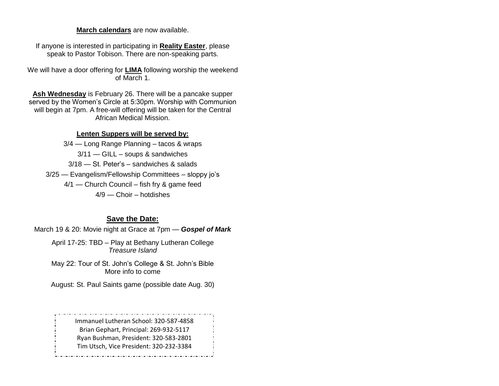**March calendars** are now available.

If anyone is interested in participating in **Reality Easter**, please speak to Pastor Tobison. There are non-speaking parts.

We will have a door offering for **LIMA** following worship the weekend of March 1.

**Ash Wednesday** is February 26. There will be a pancake supper served by the Women's Circle at 5:30pm. Worship with Communion will begin at 7pm. A free-will offering will be taken for the Central African Medical Mission.

### **Lenten Suppers will be served by:**

3/4 — Long Range Planning – tacos & wraps 3/11 — GILL – soups & sandwiches 3/18 — St. Peter's – sandwiches & salads 3/25 — Evangelism/Fellowship Committees – sloppy jo's 4/1 — Church Council – fish fry & game feed 4/9 — Choir – hotdishes

# **Save the Date:**

March 19 & 20: Movie night at Grace at 7pm — *Gospel of Mark*

April 17-25: TBD – Play at Bethany Lutheran College *Treasure Island*

May 22: Tour of St. John's College & St. John's Bible More info to come

August: St. Paul Saints game (possible date Aug. 30)

Immanuel Lutheran School: 320-587-4858 Brian Gephart, Principal: 269-932-5117 Ryan Bushman, President: 320-583-2801 Tim Utsch, Vice President: 320-232-3384